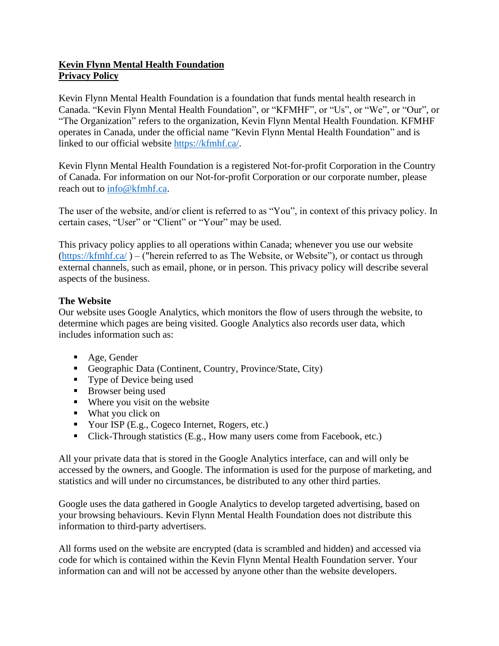# **Kevin Flynn Mental Health Foundation Privacy Policy**

Kevin Flynn Mental Health Foundation is a foundation that funds mental health research in Canada. "Kevin Flynn Mental Health Foundation", or "KFMHF", or "Us", or "We", or "Our", or "The Organization" refers to the organization, Kevin Flynn Mental Health Foundation. KFMHF operates in Canada, under the official name "Kevin Flynn Mental Health Foundation" and is linked to our official website <https://kfmhf.ca/>.

Kevin Flynn Mental Health Foundation is a registered Not-for-profit Corporation in the Country of Canada. For information on our Not-for-profit Corporation or our corporate number, please reach out to [info@kfmhf.ca.](mailto:info@kfmhf.ca)

The user of the website, and/or client is referred to as "You", in context of this privacy policy. In certain cases, "User" or "Client" or "Your" may be used.

This privacy policy applies to all operations within Canada; whenever you use our website [\(https://kfmhf.ca/](https://kfmhf.ca/) ) – ("herein referred to as The Website, or Website"), or contact us through external channels, such as email, phone, or in person. This privacy policy will describe several aspects of the business.

## **The Website**

Our website uses Google Analytics, which monitors the flow of users through the website, to determine which pages are being visited. Google Analytics also records user data, which includes information such as:

- Age, Gender
- Geographic Data (Continent, Country, Province/State, City)
- Type of Device being used
- Browser being used
- Where you visit on the website
- What you click on
- Your ISP (E.g., Cogeco Internet, Rogers, etc.)
- Click-Through statistics (E.g., How many users come from Facebook, etc.)

All your private data that is stored in the Google Analytics interface, can and will only be accessed by the owners, and Google. The information is used for the purpose of marketing, and statistics and will under no circumstances, be distributed to any other third parties.

Google uses the data gathered in Google Analytics to develop targeted advertising, based on your browsing behaviours. Kevin Flynn Mental Health Foundation does not distribute this information to third-party advertisers.

All forms used on the website are encrypted (data is scrambled and hidden) and accessed via code for which is contained within the Kevin Flynn Mental Health Foundation server. Your information can and will not be accessed by anyone other than the website developers.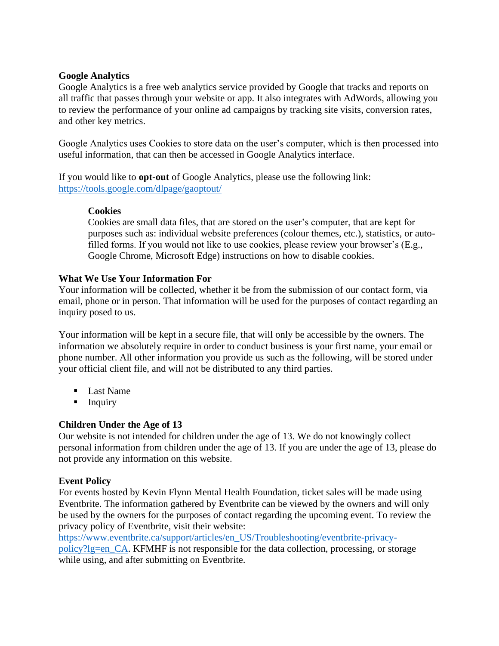#### **Google Analytics**

Google Analytics is a free web analytics service provided by Google that tracks and reports on all traffic that passes through your website or app. It also integrates with AdWords, allowing you to review the performance of your online ad campaigns by tracking site visits, conversion rates, and other key metrics.

Google Analytics uses Cookies to store data on the user's computer, which is then processed into useful information, that can then be accessed in Google Analytics interface.

If you would like to **opt-out** of Google Analytics, please use the following link: <https://tools.google.com/dlpage/gaoptout/>

## **Cookies**

Cookies are small data files, that are stored on the user's computer, that are kept for purposes such as: individual website preferences (colour themes, etc.), statistics, or autofilled forms. If you would not like to use cookies, please review your browser's (E.g., Google Chrome, Microsoft Edge) instructions on how to disable cookies.

## **What We Use Your Information For**

Your information will be collected, whether it be from the submission of our contact form, via email, phone or in person. That information will be used for the purposes of contact regarding an inquiry posed to us.

Your information will be kept in a secure file, that will only be accessible by the owners. The information we absolutely require in order to conduct business is your first name, your email or phone number. All other information you provide us such as the following, will be stored under your official client file, and will not be distributed to any third parties.

- Last Name
- **E** Inquiry

## **Children Under the Age of 13**

Our website is not intended for children under the age of 13. We do not knowingly collect personal information from children under the age of 13. If you are under the age of 13, please do not provide any information on this website.

#### **Event Policy**

For events hosted by Kevin Flynn Mental Health Foundation, ticket sales will be made using Eventbrite. The information gathered by Eventbrite can be viewed by the owners and will only be used by the owners for the purposes of contact regarding the upcoming event. To review the privacy policy of Eventbrite, visit their website:

[https://www.eventbrite.ca/support/articles/en\\_US/Troubleshooting/eventbrite-privacy](https://www.eventbrite.ca/support/articles/en_US/Troubleshooting/eventbrite-privacy-policy?lg=en_CA)[policy?lg=en\\_CA.](https://www.eventbrite.ca/support/articles/en_US/Troubleshooting/eventbrite-privacy-policy?lg=en_CA) KFMHF is not responsible for the data collection, processing, or storage while using, and after submitting on Eventbrite.